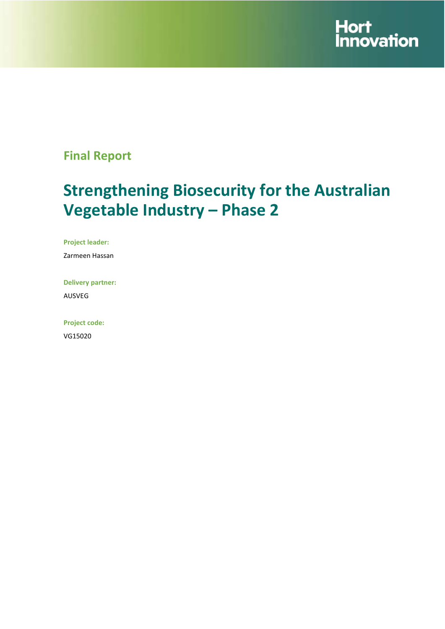

# **Final Report**

# **Strengthening Biosecurity for the Australian Vegetable Industry – Phase 2**

**Project leader:**

Zarmeen Hassan

**Delivery partner:** AUSVEG

**Project code:**  VG15020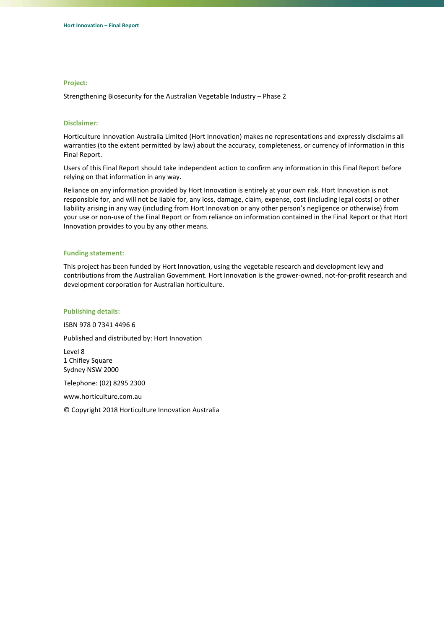#### **Project:**

Strengthening Biosecurity for the Australian Vegetable Industry – Phase 2

#### **Disclaimer:**

Horticulture Innovation Australia Limited (Hort Innovation) makes no representations and expressly disclaims all warranties (to the extent permitted by law) about the accuracy, completeness, or currency of information in this Final Report.

Users of this Final Report should take independent action to confirm any information in this Final Report before relying on that information in any way.

Reliance on any information provided by Hort Innovation is entirely at your own risk. Hort Innovation is not responsible for, and will not be liable for, any loss, damage, claim, expense, cost (including legal costs) or other liability arising in any way (including from Hort Innovation or any other person's negligence or otherwise) from your use or non-use of the Final Report or from reliance on information contained in the Final Report or that Hort Innovation provides to you by any other means.

#### **Funding statement:**

This project has been funded by Hort Innovation, using the vegetable research and development levy and contributions from the Australian Government. Hort Innovation is the grower-owned, not-for-profit research and development corporation for Australian horticulture.

#### **Publishing details:**

ISBN 978 0 7341 4496 6

Published and distributed by: Hort Innovation

Level 8 1 Chifley Square Sydney NSW 2000

Telephone: (02) 8295 2300

www.horticulture.com.au

© Copyright 2018 Horticulture Innovation Australia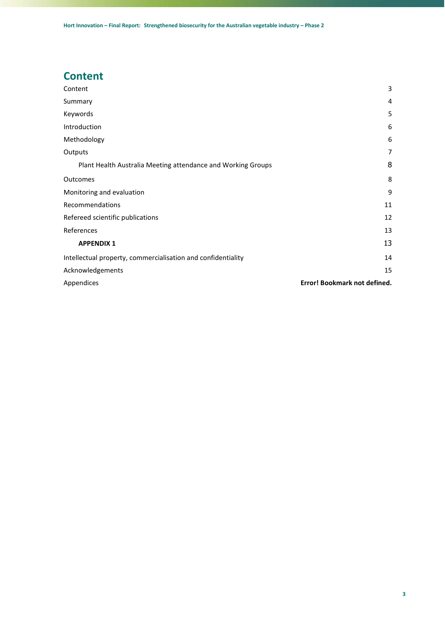# <span id="page-2-0"></span>**Content**

| Content                                                      | 3                            |
|--------------------------------------------------------------|------------------------------|
| Summary                                                      | 4                            |
| Keywords                                                     | 5                            |
| Introduction                                                 | 6                            |
| Methodology                                                  | 6                            |
| Outputs                                                      | 7                            |
| Plant Health Australia Meeting attendance and Working Groups | 8                            |
| Outcomes                                                     | 8                            |
| Monitoring and evaluation                                    | 9                            |
| Recommendations                                              | 11                           |
| Refereed scientific publications                             | 12                           |
| References                                                   | 13                           |
| <b>APPENDIX 1</b>                                            | 13                           |
| Intellectual property, commercialisation and confidentiality | 14                           |
| Acknowledgements                                             | 15                           |
| Appendices                                                   | Error! Bookmark not defined. |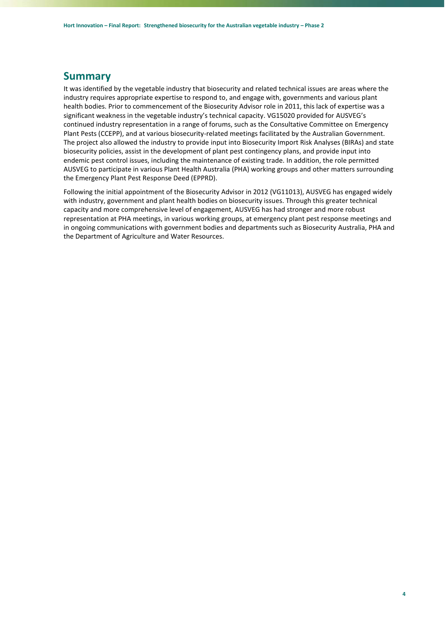#### <span id="page-3-0"></span>**Summary**

It was identified by the vegetable industry that biosecurity and related technical issues are areas where the industry requires appropriate expertise to respond to, and engage with, governments and various plant health bodies. Prior to commencement of the Biosecurity Advisor role in 2011, this lack of expertise was a significant weakness in the vegetable industry's technical capacity. VG15020 provided for AUSVEG's continued industry representation in a range of forums, such as the Consultative Committee on Emergency Plant Pests (CCEPP), and at various biosecurity-related meetings facilitated by the Australian Government. The project also allowed the industry to provide input into Biosecurity Import Risk Analyses (BIRAs) and state biosecurity policies, assist in the development of plant pest contingency plans, and provide input into endemic pest control issues, including the maintenance of existing trade. In addition, the role permitted AUSVEG to participate in various Plant Health Australia (PHA) working groups and other matters surrounding the Emergency Plant Pest Response Deed (EPPRD).

Following the initial appointment of the Biosecurity Advisor in 2012 (VG11013), AUSVEG has engaged widely with industry, government and plant health bodies on biosecurity issues. Through this greater technical capacity and more comprehensive level of engagement, AUSVEG has had stronger and more robust representation at PHA meetings, in various working groups, at emergency plant pest response meetings and in ongoing communications with government bodies and departments such as Biosecurity Australia, PHA and the Department of Agriculture and Water Resources.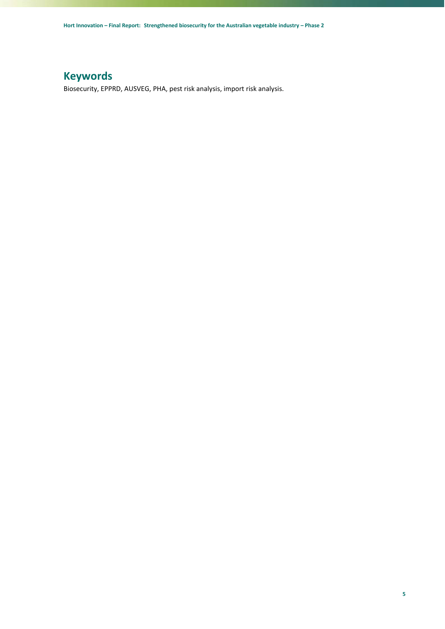## <span id="page-4-0"></span>**Keywords**

Biosecurity, EPPRD, AUSVEG, PHA, pest risk analysis, import risk analysis.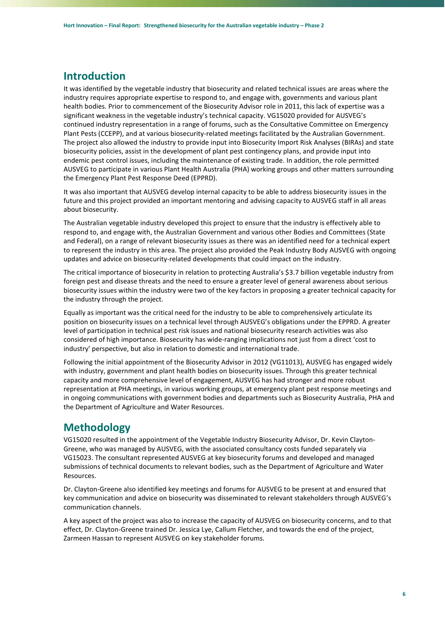### <span id="page-5-0"></span>**Introduction**

It was identified by the vegetable industry that biosecurity and related technical issues are areas where the industry requires appropriate expertise to respond to, and engage with, governments and various plant health bodies. Prior to commencement of the Biosecurity Advisor role in 2011, this lack of expertise was a significant weakness in the vegetable industry's technical capacity. VG15020 provided for AUSVEG's continued industry representation in a range of forums, such as the Consultative Committee on Emergency Plant Pests (CCEPP), and at various biosecurity-related meetings facilitated by the Australian Government. The project also allowed the industry to provide input into Biosecurity Import Risk Analyses (BIRAs) and state biosecurity policies, assist in the development of plant pest contingency plans, and provide input into endemic pest control issues, including the maintenance of existing trade. In addition, the role permitted AUSVEG to participate in various Plant Health Australia (PHA) working groups and other matters surrounding the Emergency Plant Pest Response Deed (EPPRD).

It was also important that AUSVEG develop internal capacity to be able to address biosecurity issues in the future and this project provided an important mentoring and advising capacity to AUSVEG staff in all areas about biosecurity.

The Australian vegetable industry developed this project to ensure that the industry is effectively able to respond to, and engage with, the Australian Government and various other Bodies and Committees (State and Federal), on a range of relevant biosecurity issues as there was an identified need for a technical expert to represent the industry in this area. The project also provided the Peak Industry Body AUSVEG with ongoing updates and advice on biosecurity-related developments that could impact on the industry.

The critical importance of biosecurity in relation to protecting Australia's \$3.7 billion vegetable industry from foreign pest and disease threats and the need to ensure a greater level of general awareness about serious biosecurity issues within the industry were two of the key factors in proposing a greater technical capacity for the industry through the project.

Equally as important was the critical need for the industry to be able to comprehensively articulate its position on biosecurity issues on a technical level through AUSVEG's obligations under the EPPRD. A greater level of participation in technical pest risk issues and national biosecurity research activities was also considered of high importance. Biosecurity has wide-ranging implications not just from a direct 'cost to industry' perspective, but also in relation to domestic and international trade.

Following the initial appointment of the Biosecurity Advisor in 2012 (VG11013), AUSVEG has engaged widely with industry, government and plant health bodies on biosecurity issues. Through this greater technical capacity and more comprehensive level of engagement, AUSVEG has had stronger and more robust representation at PHA meetings, in various working groups, at emergency plant pest response meetings and in ongoing communications with government bodies and departments such as Biosecurity Australia, PHA and the Department of Agriculture and Water Resources.

### <span id="page-5-1"></span>**Methodology**

VG15020 resulted in the appointment of the Vegetable Industry Biosecurity Advisor, Dr. Kevin Clayton-Greene, who was managed by AUSVEG, with the associated consultancy costs funded separately via VG15023. The consultant represented AUSVEG at key biosecurity forums and developed and managed submissions of technical documents to relevant bodies, such as the Department of Agriculture and Water Resources.

Dr. Clayton-Greene also identified key meetings and forums for AUSVEG to be present at and ensured that key communication and advice on biosecurity was disseminated to relevant stakeholders through AUSVEG's communication channels.

A key aspect of the project was also to increase the capacity of AUSVEG on biosecurity concerns, and to that effect, Dr. Clayton-Greene trained Dr. Jessica Lye, Callum Fletcher, and towards the end of the project, Zarmeen Hassan to represent AUSVEG on key stakeholder forums.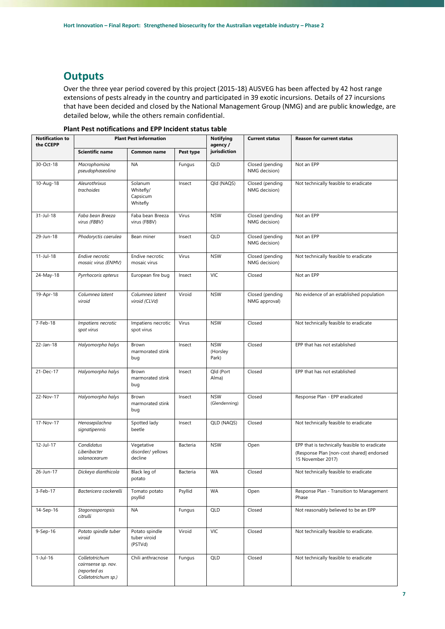### <span id="page-6-0"></span>**Outputs**

Over the three year period covered by this project (2015-18) AUSVEG has been affected by 42 host range extensions of pests already in the country and participated in 39 exotic incursions. Details of 27 incursions that have been decided and closed by the National Management Group (NMG) and are public knowledge, are detailed below, while the others remain confidential.

| <b>Notification to</b><br>the CCEPP | <b>Plant Pest information</b>                                                |                                              |           | <b>Notifying</b><br>agency /    | <b>Current status</b>            | <b>Reason for current status</b>                                                                                |
|-------------------------------------|------------------------------------------------------------------------------|----------------------------------------------|-----------|---------------------------------|----------------------------------|-----------------------------------------------------------------------------------------------------------------|
|                                     | <b>Scientific name</b>                                                       | Common name                                  | Pest type | jurisdiction                    |                                  |                                                                                                                 |
| 30-Oct-18                           | Macrophomina<br>pseudophaseolina                                             | <b>NA</b>                                    | Fungus    | QLD                             | Closed (pending<br>NMG decision) | Not an EPP                                                                                                      |
| 10-Aug-18                           | Aleurothrixus<br>trachoides                                                  | Solanum<br>Whitefly/<br>Capsicum<br>Whitefly | Insect    | Qld (NAQS)                      | Closed (pending<br>NMG decision) | Not technically feasible to eradicate                                                                           |
| 31-Jul-18                           | Faba bean Breeza<br>virus (FBBV)                                             | Faba bean Breeza<br>virus (FBBV)             | Virus     | <b>NSW</b>                      | Closed (pending<br>NMG decision) | Not an EPP                                                                                                      |
| 29-Jun-18                           | Phodoryctis caerulea                                                         | Bean miner                                   | Insect    | QLD                             | Closed (pending<br>NMG decision) | Not an EPP                                                                                                      |
| $11-Jul-18$                         | Endive necrotic<br>mosaic virus (ENMV)                                       | Endive necrotic<br>mosaic virus              | Virus     | <b>NSW</b>                      | Closed (pending<br>NMG decision) | Not technically feasible to eradicate                                                                           |
| 24-May-18                           | Pyrrhocoris apterus                                                          | European fire bug                            | Insect    | <b>VIC</b>                      | Closed                           | Not an EPP                                                                                                      |
| 19-Apr-18                           | Columnea latent<br>viroid                                                    | Columnea latent<br>viroid (CLVd)             | Viroid    | <b>NSW</b>                      | Closed (pending<br>NMG approval) | No evidence of an established population                                                                        |
| 7-Feb-18                            | Impatiens necrotic<br>spot virus                                             | Impatiens necrotic<br>spot virus             | Virus     | <b>NSW</b>                      | Closed                           | Not technically feasible to eradicate                                                                           |
| 22-Jan-18                           | Halyomorpha halys                                                            | Brown<br>marmorated stink<br>bug             | Insect    | <b>NSW</b><br>(Horsley<br>Park) | Closed                           | EPP that has not established                                                                                    |
| 21-Dec-17                           | Halyomorpha halys                                                            | Brown<br>marmorated stink<br>bug             | Insect    | Qld (Port<br>Alma)              | Closed                           | EPP that has not established                                                                                    |
| 22-Nov-17                           | Halyomorpha halys                                                            | Brown<br>marmorated stink<br>bug             | Insect    | <b>NSW</b><br>(Glendenning)     | Closed                           | Response Plan - EPP eradicated                                                                                  |
| 17-Nov-17                           | Henosepilachna<br>signatipennis                                              | Spotted lady<br>beetle                       | Insect    | QLD (NAQS)                      | Closed                           | Not technically feasible to eradicate                                                                           |
| 12-Jul-17                           | Candidatus<br>Liberibacter<br>solanacearum                                   | Vegetative<br>disorder/ yellows<br>decline   | Bacteria  | <b>NSW</b>                      | Open                             | EPP that is technically feasible to eradicate<br>(Response Plan [non-cost shared] endorsed<br>15 November 2017) |
| 26-Jun-17                           | Dickeya dianthicola                                                          | Black leg of<br>potato                       | Bacteria  | WA                              | Closed                           | Not technically feasible to eradicate                                                                           |
| 3-Feb-17                            | Bactericera cockerelli                                                       | Tomato potato<br>psyllid                     | Psyllid   | WA                              | Open                             | Response Plan - Transition to Management<br>Phase                                                               |
| 14-Sep-16                           | Stagonosporopsis<br>citrulli                                                 | <b>NA</b>                                    | Fungus    | QLD                             | Closed                           | Not reasonably believed to be an EPP                                                                            |
| $9-Sep-16$                          | Potato spindle tuber<br>viroid                                               | Potato spindle<br>tuber viroid<br>(PSTVd)    | Viroid    | VIC                             | Closed                           | Not technically feasible to eradicate.                                                                          |
| $1-Jul-16$                          | Colletotrichum<br>cairnsense sp. nov.<br>(reported as<br>Colletotrichum sp.) | Chili anthracnose                            | Fungus    | QLD                             | Closed                           | Not technically feasible to eradicate                                                                           |

**Plant Pest notifications and EPP Incident status table**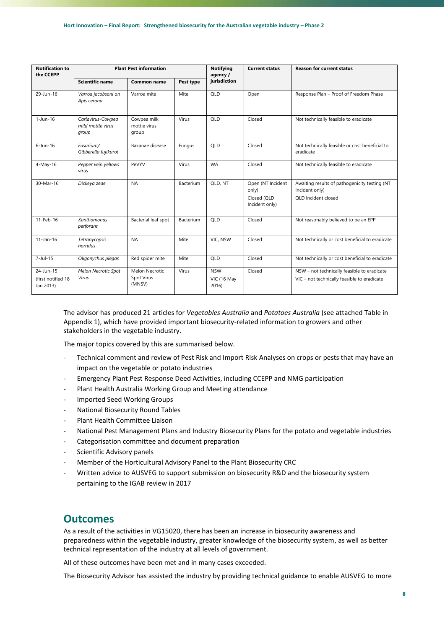| <b>Notification to</b><br>the CCEPP          | <b>Plant Pest information</b>                   |                                        |           | <b>Notifying</b><br>agency /       | <b>Current status</b>                                       | <b>Reason for current status</b>                                                           |
|----------------------------------------------|-------------------------------------------------|----------------------------------------|-----------|------------------------------------|-------------------------------------------------------------|--------------------------------------------------------------------------------------------|
|                                              | <b>Scientific name</b>                          | <b>Common name</b>                     | Pest type | jurisdiction                       |                                                             |                                                                                            |
| 29-Jun-16                                    | Varroa jacobsoni on<br>Apis cerana              | Varroa mite                            | Mite      | QLD                                | Open                                                        | Response Plan - Proof of Freedom Phase                                                     |
| $1$ -Jun-16                                  | Carlavirus-Cowpea<br>mild mottle virus<br>group | Cowpea milk<br>mottle virus<br>group   | Virus     | QLD                                | Closed                                                      | Not technically feasible to eradicate                                                      |
| $6$ -Jun-16                                  | Fusarium/<br>Gibberella fujikuroi               | Bakanae disease                        | Fungus    | QLD                                | Closed                                                      | Not technically feasible or cost beneficial to<br>eradicate                                |
| 4-May-16                                     | Pepper vein yellows<br>virus                    | PeVYV                                  | Virus     | <b>WA</b>                          | Closed                                                      | Not technically feasible to eradicate                                                      |
| 30-Mar-16                                    | Dickeya zeae                                    | <b>NA</b>                              | Bacterium | QLD, NT                            | Open (NT Incident<br>only)<br>Closed (OLD<br>Incident only) | Awaiting results of pathogenicity testing (NT<br>Incident only)<br>OLD Incident closed     |
| 11-Feb-16                                    | <b>Xanthomonas</b><br>perforans                 | Bacterial leaf spot                    | Bacterium | QLD                                | Closed                                                      | Not reasonably believed to be an EPP                                                       |
| $11$ -Jan-16                                 | Tetranycopsis<br>horridus                       | <b>NA</b>                              | Mite      | VIC, NSW                           | Closed                                                      | Not technically or cost beneficial to eradicate                                            |
| $7$ -Jul-15                                  | Oligonychus plegas                              | Red spider mite                        | Mite      | <b>OLD</b>                         | Closed                                                      | Not technically or cost beneficial to eradicate                                            |
| 24-Jun-15<br>(first notified 18<br>Jan 2013) | Melon Necrotic Spot<br>Virus                    | Melon Necrotic<br>Spot Virus<br>(MNSV) | Virus     | <b>NSW</b><br>VIC (16 May<br>2016) | Closed                                                      | NSW - not technically feasible to eradicate<br>VIC - not technically feasible to eradicate |

The advisor has produced 21 articles for *Vegetables Australia* and *Potatoes Australia* (see attached Table in Appendix 1), which have provided important biosecurity-related information to growers and other stakeholders in the vegetable industry.

The major topics covered by this are summarised below.

- Technical comment and review of Pest Risk and Import Risk Analyses on crops or pests that may have an impact on the vegetable or potato industries
- Emergency Plant Pest Response Deed Activities, including CCEPP and NMG participation
- <span id="page-7-0"></span>Plant Health Australia Working Group and Meeting attendance
- Imported Seed Working Groups
- National Biosecurity Round Tables
- Plant Health Committee Liaison
- National Pest Management Plans and Industry Biosecurity Plans for the potato and vegetable industries
- Categorisation committee and document preparation
- Scientific Advisory panels
- Member of the Horticultural Advisory Panel to the Plant Biosecurity CRC
- Written advice to AUSVEG to support submission on biosecurity R&D and the biosecurity system pertaining to the IGAB review in 2017

#### <span id="page-7-1"></span>**Outcomes**

As a result of the activities in VG15020, there has been an increase in biosecurity awareness and preparedness within the vegetable industry, greater knowledge of the biosecurity system, as well as better technical representation of the industry at all levels of government.

All of these outcomes have been met and in many cases exceeded.

The Biosecurity Advisor has assisted the industry by providing technical guidance to enable AUSVEG to more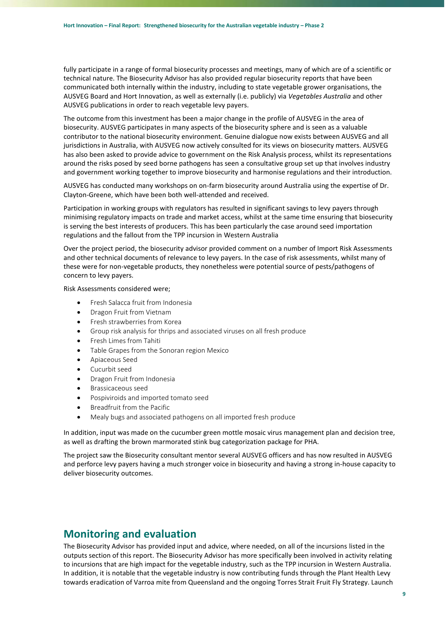fully participate in a range of formal biosecurity processes and meetings, many of which are of a scientific or technical nature. The Biosecurity Advisor has also provided regular biosecurity reports that have been communicated both internally within the industry, including to state vegetable grower organisations, the AUSVEG Board and Hort Innovation, as well as externally (i.e. publicly) via *Vegetables Australia* and other AUSVEG publications in order to reach vegetable levy payers.

The outcome from this investment has been a major change in the profile of AUSVEG in the area of biosecurity. AUSVEG participates in many aspects of the biosecurity sphere and is seen as a valuable contributor to the national biosecurity environment. Genuine dialogue now exists between AUSVEG and all jurisdictions in Australia, with AUSVEG now actively consulted for its views on biosecurity matters. AUSVEG has also been asked to provide advice to government on the Risk Analysis process, whilst its representations around the risks posed by seed borne pathogens has seen a consultative group set up that involves industry and government working together to improve biosecurity and harmonise regulations and their introduction.

AUSVEG has conducted many workshops on on-farm biosecurity around Australia using the expertise of Dr. Clayton-Greene, which have been both well-attended and received.

Participation in working groups with regulators has resulted in significant savings to levy payers through minimising regulatory impacts on trade and market access, whilst at the same time ensuring that biosecurity is serving the best interests of producers. This has been particularly the case around seed importation regulations and the fallout from the TPP incursion in Western Australia

Over the project period, the biosecurity advisor provided comment on a number of Import Risk Assessments and other technical documents of relevance to levy payers. In the case of risk assessments, whilst many of these were for non-vegetable products, they nonetheless were potential source of pests/pathogens of concern to levy payers.

Risk Assessments considered were;

- Fresh Salacca fruit from Indonesia
- Dragon Fruit from Vietnam
- Fresh strawberries from Korea
- Group risk analysis for thrips and associated viruses on all fresh produce
- Fresh Limes from Tahiti
- Table Grapes from the Sonoran region Mexico
- Apiaceous Seed
- Cucurbit seed
- Dragon Fruit from Indonesia
- Brassicaceous seed
- Pospiviroids and imported tomato seed
- Breadfruit from the Pacific
- Mealy bugs and associated pathogens on all imported fresh produce

In addition, input was made on the cucumber green mottle mosaic virus management plan and decision tree, as well as drafting the brown marmorated stink bug categorization package for PHA.

The project saw the Biosecurity consultant mentor several AUSVEG officers and has now resulted in AUSVEG and perforce levy payers having a much stronger voice in biosecurity and having a strong in-house capacity to deliver biosecurity outcomes.

### <span id="page-8-0"></span>**Monitoring and evaluation**

The Biosecurity Advisor has provided input and advice, where needed, on all of the incursions listed in the outputs section of this report. The Biosecurity Advisor has more specifically been involved in activity relating to incursions that are high impact for the vegetable industry, such as the TPP incursion in Western Australia. In addition, it is notable that the vegetable industry is now contributing funds through the Plant Health Levy towards eradication of Varroa mite from Queensland and the ongoing Torres Strait Fruit Fly Strategy. Launch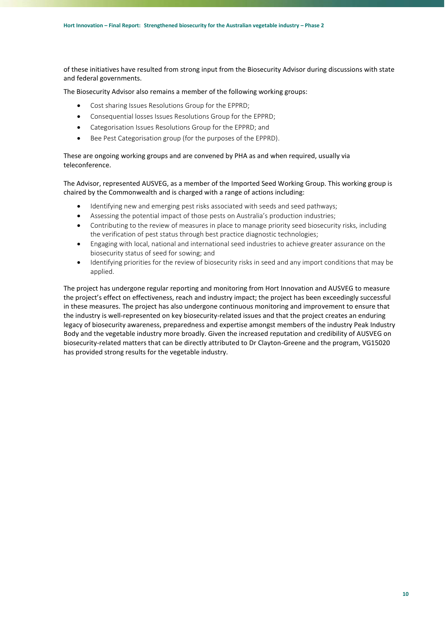of these initiatives have resulted from strong input from the Biosecurity Advisor during discussions with state and federal governments.

The Biosecurity Advisor also remains a member of the following working groups:

- Cost sharing Issues Resolutions Group for the EPPRD;
- Consequential losses Issues Resolutions Group for the EPPRD;
- Categorisation Issues Resolutions Group for the EPPRD; and
- Bee Pest Categorisation group (for the purposes of the EPPRD).

These are ongoing working groups and are convened by PHA as and when required, usually via teleconference.

The Advisor, represented AUSVEG, as a member of the Imported Seed Working Group. This working group is chaired by the Commonwealth and is charged with a range of actions including:

- Identifying new and emerging pest risks associated with seeds and seed pathways;
- Assessing the potential impact of those pests on Australia's production industries;
- Contributing to the review of measures in place to manage priority seed biosecurity risks, including the verification of pest status through best practice diagnostic technologies;
- Engaging with local, national and international seed industries to achieve greater assurance on the biosecurity status of seed for sowing; and
- Identifying priorities for the review of biosecurity risks in seed and any import conditions that may be applied.

The project has undergone regular reporting and monitoring from Hort Innovation and AUSVEG to measure the project's effect on effectiveness, reach and industry impact; the project has been exceedingly successful in these measures. The project has also undergone continuous monitoring and improvement to ensure that the industry is well-represented on key biosecurity-related issues and that the project creates an enduring legacy of biosecurity awareness, preparedness and expertise amongst members of the industry Peak Industry Body and the vegetable industry more broadly. Given the increased reputation and credibility of AUSVEG on biosecurity-related matters that can be directly attributed to Dr Clayton-Greene and the program, VG15020 has provided strong results for the vegetable industry.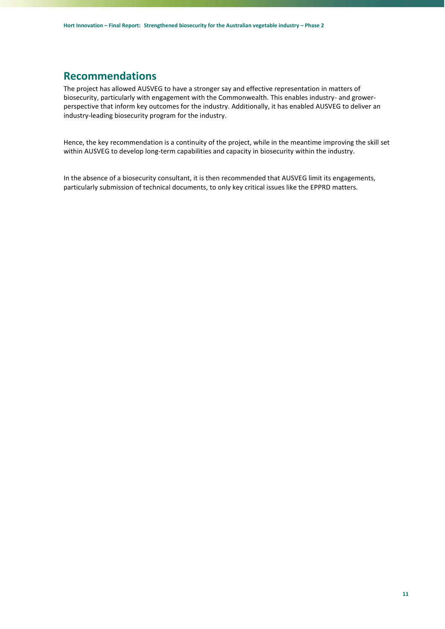#### <span id="page-10-0"></span>**Recommendations**

The project has allowed AUSVEG to have a stronger say and effective representation in matters of biosecurity, particularly with engagement with the Commonwealth. This enables industry- and growerperspective that inform key outcomes for the industry. Additionally, it has enabled AUSVEG to deliver an industry-leading biosecurity program for the industry.

Hence, the key recommendation is a continuity of the project, while in the meantime improving the skill set within AUSVEG to develop long-term capabilities and capacity in biosecurity within the industry.

In the absence of a biosecurity consultant, it is then recommended that AUSVEG limit its engagements, particularly submission of technical documents, to only key critical issues like the EPPRD matters.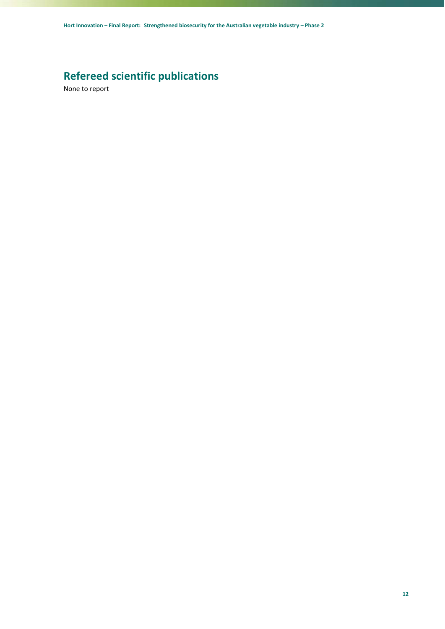# <span id="page-11-0"></span>**Refereed scientific publications**

None to report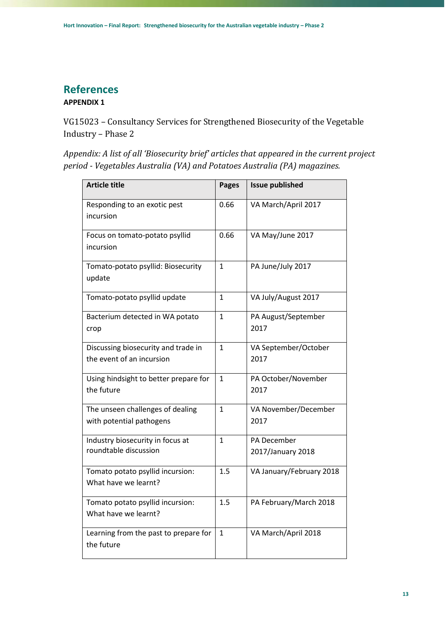# <span id="page-12-0"></span>**References**

#### <span id="page-12-1"></span>**APPENDIX 1**

VG15023 – Consultancy Services for Strengthened Biosecurity of the Vegetable Industry – Phase 2

*Appendix: A list of all 'Biosecurity brief' articles that appeared in the current project period - Vegetables Australia (VA) and Potatoes Australia (PA) magazines.*

| <b>Article title</b>                                             | <b>Pages</b> | <b>Issue published</b>           |
|------------------------------------------------------------------|--------------|----------------------------------|
| Responding to an exotic pest<br>incursion                        | 0.66         | VA March/April 2017              |
| Focus on tomato-potato psyllid<br>incursion                      | 0.66         | VA May/June 2017                 |
| Tomato-potato psyllid: Biosecurity<br>update                     | 1            | PA June/July 2017                |
| Tomato-potato psyllid update                                     | $\mathbf{1}$ | VA July/August 2017              |
| Bacterium detected in WA potato<br>crop                          | $\mathbf{1}$ | PA August/September<br>2017      |
| Discussing biosecurity and trade in<br>the event of an incursion | 1            | VA September/October<br>2017     |
| Using hindsight to better prepare for<br>the future              | $\mathbf{1}$ | PA October/November<br>2017      |
| The unseen challenges of dealing<br>with potential pathogens     | $\mathbf{1}$ | VA November/December<br>2017     |
| Industry biosecurity in focus at<br>roundtable discussion        | $\mathbf{1}$ | PA December<br>2017/January 2018 |
| Tomato potato psyllid incursion:<br>What have we learnt?         | 1.5          | VA January/February 2018         |
| Tomato potato psyllid incursion:<br>What have we learnt?         | 1.5          | PA February/March 2018           |
| Learning from the past to prepare for<br>the future              | 1            | VA March/April 2018              |